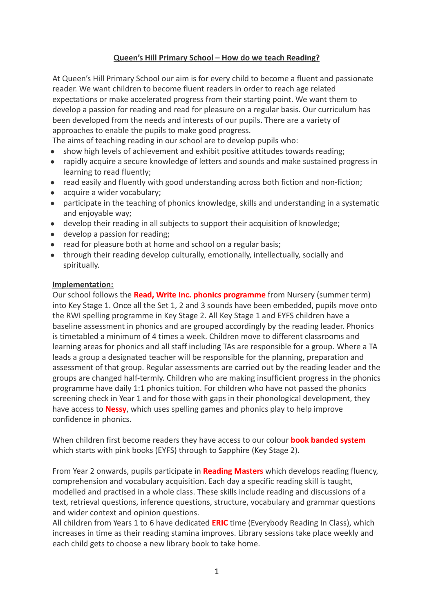# **Queen's Hill Primary School – How do we teach Reading?**

At Queen's Hill Primary School our aim is for every child to become a fluent and passionate reader. We want children to become fluent readers in order to reach age related expectations or make accelerated progress from their starting point. We want them to develop a passion for reading and read for pleasure on a regular basis. Our curriculum has been developed from the needs and interests of our pupils. There are a variety of approaches to enable the pupils to make good progress.

The aims of teaching reading in our school are to develop pupils who:

- show high levels of achievement and exhibit positive attitudes towards reading;
- rapidly acquire a secure knowledge of letters and sounds and make sustained progress in learning to read fluently;
- read easily and fluently with good understanding across both fiction and non-fiction;
- acquire a wider vocabulary:
- participate in the teaching of phonics knowledge, skills and understanding in a systematic and enjoyable way;
- develop their reading in all subjects to support their acquisition of knowledge;
- develop a passion for reading;
- read for pleasure both at home and school on a regular basis:
- through their reading develop culturally, emotionally, intellectually, socially and spiritually.

#### **Implementation:**

Our school follows the **Read, Write Inc. phonics programme** from Nursery (summer term) into Key Stage 1. Once all the Set 1, 2 and 3 sounds have been embedded, pupils move onto the RWI spelling programme in Key Stage 2. All Key Stage 1 and EYFS children have a baseline assessment in phonics and are grouped accordingly by the reading leader. Phonics is timetabled a minimum of 4 times a week. Children move to different classrooms and learning areas for phonics and all staff including TAs are responsible for a group. Where a TA leads a group a designated teacher will be responsible for the planning, preparation and assessment of that group. Regular assessments are carried out by the reading leader and the groups are changed half-termly. Children who are making insufficient progress in the phonics programme have daily 1:1 phonics tuition. For children who have not passed the phonics screening check in Year 1 and for those with gaps in their phonological development, they have access to **Nessy**, which uses spelling games and phonics play to help improve confidence in phonics.

When children first become readers they have access to our colour **book banded system** which starts with pink books (EYFS) through to Sapphire (Key Stage 2).

From Year 2 onwards, pupils participate in **Reading Masters** which develops reading fluency, comprehension and vocabulary acquisition. Each day a specific reading skill is taught, modelled and practised in a whole class. These skills include reading and discussions of a text, retrieval questions, inference questions, structure, vocabulary and grammar questions and wider context and opinion questions.

All children from Years 1 to 6 have dedicated **ERIC** time (Everybody Reading In Class), which increases in time as their reading stamina improves. Library sessions take place weekly and each child gets to choose a new library book to take home.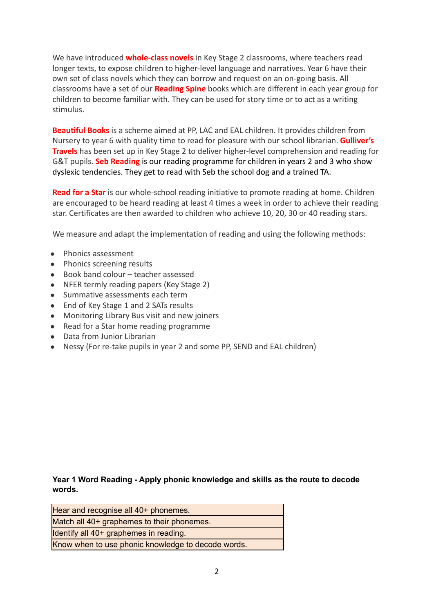We have introduced **whole-class novels** in Key Stage 2 classrooms, where teachers read longer texts, to expose children to higher-level language and narratives. Year 6 have their own set of class novels which they can borrow and request on an on-going basis. All classrooms have a set of our **Reading Spine** books which are different in each year group for children to become familiar with. They can be used for story time or to act as a writing stimulus.

**Beautiful Books** is a scheme aimed at PP, LAC and EAL children. It provides children from Nursery to year 6 with quality time to read for pleasure with our school librarian. **Gulliver's Travels** has been set up in Key Stage 2 to deliver higher-level comprehension and reading for G&T pupils. **Seb Reading** is our reading programme for children in years 2 and 3 who show dyslexic tendencies. They get to read with Seb the school dog and a trained TA.

**Read for a Star** is our whole-school reading initiative to promote reading at home. Children are encouraged to be heard reading at least 4 times a week in order to achieve their reading star. Certificates are then awarded to children who achieve 10, 20, 30 or 40 reading stars.

We measure and adapt the implementation of reading and using the following methods:

- Phonics assessment
- Phonics screening results
- Book band colour teacher assessed
- NFER termly reading papers (Key Stage 2)
- Summative assessments each term
- End of Key Stage 1 and 2 SATs results
- Monitoring Library Bus visit and new joiners
- Read for a Star home reading programme
- Data from Junior Librarian
- Nessy (For re-take pupils in year 2 and some PP, SEND and EAL children)

**Year 1 Word Reading - Apply phonic knowledge and skills as the route to decode words.**

| Hear and recognise all 40+ phonemes.               |
|----------------------------------------------------|
| Match all 40+ graphemes to their phonemes.         |
| Identify all 40+ graphemes in reading.             |
| Know when to use phonic knowledge to decode words. |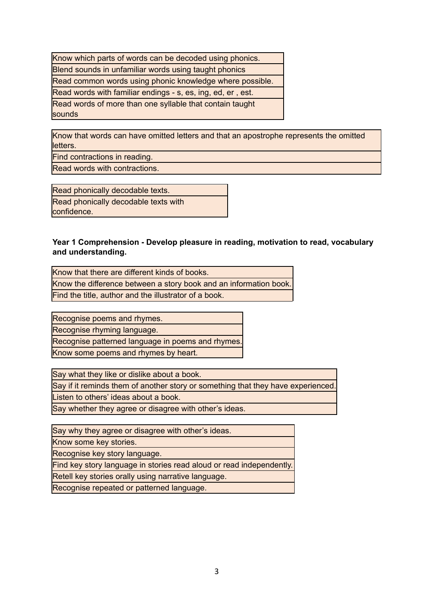| Know which parts of words can be decoded using phonics.            |
|--------------------------------------------------------------------|
| Blend sounds in unfamiliar words using taught phonics              |
| Read common words using phonic knowledge where possible.           |
| Read words with familiar endings - s, es, ing, ed, er, est.        |
| Read words of more than one syllable that contain taught<br>sounds |

Know that words can have omitted letters and that an apostrophe represents the omitted letters.

Find contractions in reading.

Read words with contractions.

Read phonically decodable texts. Read phonically decodable texts with confidence.

#### **Year 1 Comprehension - Develop pleasure in reading, motivation to read, vocabulary and understanding.**

Know that there are different kinds of books. Know the difference between a story book and an information book. Find the title, author and the illustrator of a book.

Recognise poems and rhymes.

Recognise rhyming language.

Recognise patterned language in poems and rhymes.

Know some poems and rhymes by heart.

Say what they like or dislike about a book.

Say if it reminds them of another story or something that they have experienced.

Listen to others' ideas about a book.

Say whether they agree or disagree with other's ideas.

Say why they agree or disagree with other's ideas.

Know some key stories.

Recognise key story language.

Find key story language in stories read aloud or read independently.

Retell key stories orally using narrative language.

Recognise repeated or patterned language.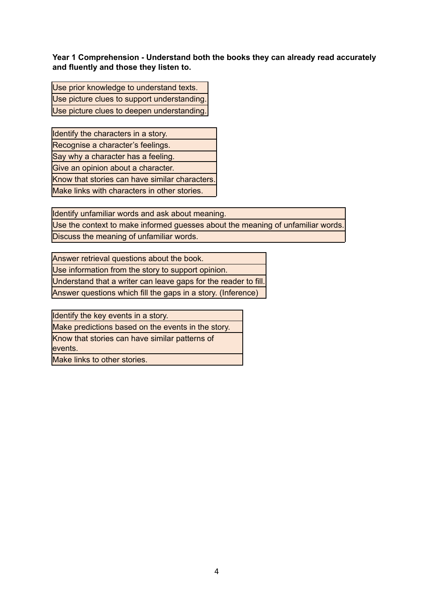**Year 1 Comprehension - Understand both the books they can already read accurately and fluently and those they listen to.**

Use prior knowledge to understand texts. Use picture clues to support understanding. Use picture clues to deepen understanding.

Identify the characters in a story. Recognise a character's feelings. Say why a character has a feeling. Give an opinion about a character. Know that stories can have similar characters. Make links with characters in other stories.

Identify unfamiliar words and ask about meaning.

Use the context to make informed guesses about the meaning of unfamiliar words. Discuss the meaning of unfamiliar words.

Answer retrieval questions about the book.

Use information from the story to support opinion.

Understand that a writer can leave gaps for the reader to fill.

Answer questions which fill the gaps in a story. (Inference)

Identify the key events in a story.

Make predictions based on the events in the story.

Know that stories can have similar patterns of

events.

Make links to other stories.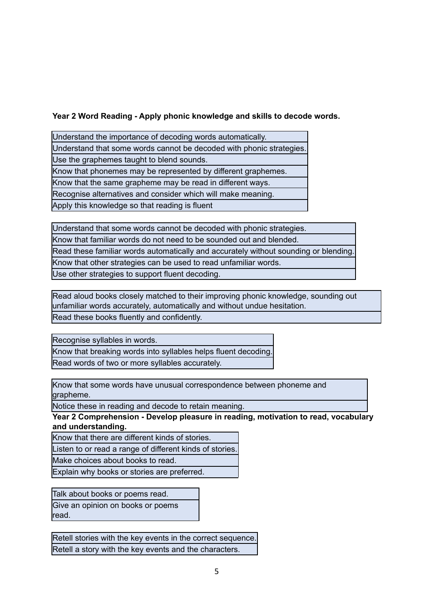## **Year 2 Word Reading - Apply phonic knowledge and skills to decode words.**

Understand the importance of decoding words automatically. Understand that some words cannot be decoded with phonic strategies. Use the graphemes taught to blend sounds. Know that phonemes may be represented by different graphemes. Know that the same grapheme may be read in different ways. Recognise alternatives and consider which will make meaning. Apply this knowledge so that reading is fluent

Understand that some words cannot be decoded with phonic strategies.

Know that familiar words do not need to be sounded out and blended.

Read these familiar words automatically and accurately without sounding or blending.

Know that other strategies can be used to read unfamiliar words.

Use other strategies to support fluent decoding.

Read aloud books closely matched to their improving phonic knowledge, sounding out unfamiliar words accurately, automatically and without undue hesitation.

Read these books fluently and confidently.

Recognise syllables in words.

Know that breaking words into syllables helps fluent decoding. Read words of two or more syllables accurately.

Know that some words have unusual correspondence between phoneme and grapheme.

Notice these in reading and decode to retain meaning.

**Year 2 Comprehension - Develop pleasure in reading, motivation to read, vocabulary and understanding.**

Know that there are different kinds of stories.

Listen to or read a range of different kinds of stories.

Make choices about books to read.

Explain why books or stories are preferred.

Talk about books or poems read. Give an opinion on books or poems read.

Retell stories with the key events in the correct sequence. Retell a story with the key events and the characters.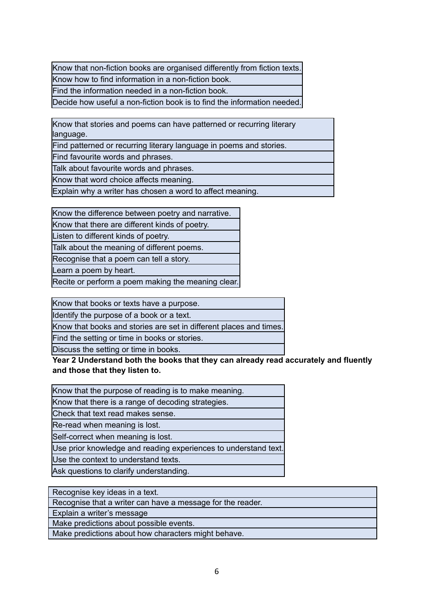Know that non-fiction books are organised differently from fiction texts. Know how to find information in a non-fiction book.

Find the information needed in a non-fiction book.

Decide how useful a non-fiction book is to find the information needed.

Know that stories and poems can have patterned or recurring literary language.

Find patterned or recurring literary language in poems and stories.

Find favourite words and phrases.

Talk about favourite words and phrases.

Know that word choice affects meaning.

Explain why a writer has chosen a word to affect meaning.

Know the difference between poetry and narrative.

Know that there are different kinds of poetry.

Listen to different kinds of poetry.

Talk about the meaning of different poems.

Recognise that a poem can tell a story.

Learn a poem by heart.

Recite or perform a poem making the meaning clear.

Know that books or texts have a purpose.

Identify the purpose of a book or a text.

Know that books and stories are set in different places and times.

Find the setting or time in books or stories.

Discuss the setting or time in books.

**Year 2 Understand both the books that they can already read accurately and fluently and those that they listen to.**

| Know that the purpose of reading is to make meaning.            |
|-----------------------------------------------------------------|
| Know that there is a range of decoding strategies.              |
| Check that text read makes sense.                               |
| Re-read when meaning is lost.                                   |
| Self-correct when meaning is lost.                              |
| Use prior knowledge and reading experiences to understand text. |
| Use the context to understand texts.                            |
| Ask questions to clarify understanding.                         |

| Recognise key ideas in a text.                             |
|------------------------------------------------------------|
| Recognise that a writer can have a message for the reader. |
| Explain a writer's message                                 |
| Make predictions about possible events.                    |
| Make predictions about how characters might behave.        |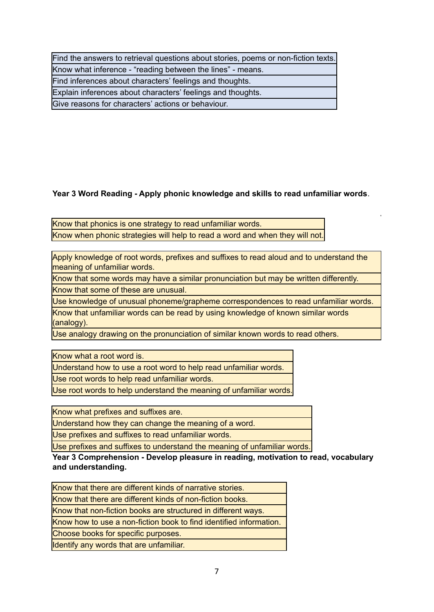| Find the answers to retrieval questions about stories, poems or non-fiction texts. |
|------------------------------------------------------------------------------------|
| Know what inference - "reading between the lines" - means.                         |
| Find inferences about characters' feelings and thoughts.                           |
| Explain inferences about characters' feelings and thoughts.                        |
| Give reasons for characters' actions or behaviour.                                 |

# **Year 3 Word Reading - Apply phonic knowledge and skills to read unfamiliar words**.

Know that phonics is one strategy to read unfamiliar words. Know when phonic strategies will help to read a word and when they will not.

Apply knowledge of root words, prefixes and suffixes to read aloud and to understand the meaning of unfamiliar words.

Know that some words may have a similar pronunciation but may be written differently. Know that some of these are unusual.

Use knowledge of unusual phoneme/grapheme correspondences to read unfamiliar words.

Know that unfamiliar words can be read by using knowledge of known similar words (analogy).

Use analogy drawing on the pronunciation of similar known words to read others.

Know what a root word is.

Understand how to use a root word to help read unfamiliar words.

Use root words to help read unfamiliar words.

Use root words to help understand the meaning of unfamiliar words.

Know what prefixes and suffixes are.

Understand how they can change the meaning of a word.

Use prefixes and suffixes to read unfamiliar words.

Use prefixes and suffixes to understand the meaning of unfamiliar words.

**Year 3 Comprehension - Develop pleasure in reading, motivation to read, vocabulary and understanding.**

Know that there are different kinds of non-fiction books.

Know that non-fiction books are structured in different ways.

Know how to use a non-fiction book to find identified information.

Choose books for specific purposes.

Identify any words that are unfamiliar.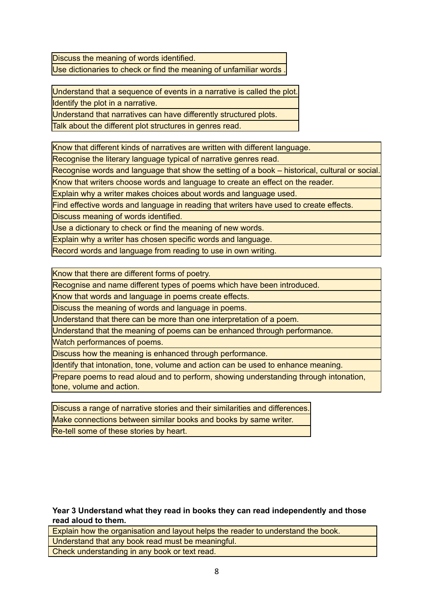Discuss the meaning of words identified. Use dictionaries to check or find the meaning of unfamiliar words

Understand that a sequence of events in a narrative is called the plot. Identify the plot in a narrative.

Understand that narratives can have differently structured plots.

Talk about the different plot structures in genres read.

Know that different kinds of narratives are written with different language.

Recognise the literary language typical of narrative genres read.

Recognise words and language that show the setting of a book – historical, cultural or social.

Know that writers choose words and language to create an effect on the reader.

Explain why a writer makes choices about words and language used.

Find effective words and language in reading that writers have used to create effects.

Discuss meaning of words identified.

Use a dictionary to check or find the meaning of new words.

Explain why a writer has chosen specific words and language.

Record words and language from reading to use in own writing.

Know that there are different forms of poetry.

Recognise and name different types of poems which have been introduced.

Know that words and language in poems create effects.

Discuss the meaning of words and language in poems.

Understand that there can be more than one interpretation of a poem.

Understand that the meaning of poems can be enhanced through performance.

Watch performances of poems.

Discuss how the meaning is enhanced through performance.

Identify that intonation, tone, volume and action can be used to enhance meaning.

Prepare poems to read aloud and to perform, showing understanding through intonation, tone, volume and action.

Discuss a range of narrative stories and their similarities and differences. Make connections between similar books and books by same writer. Re-tell some of these stories by heart.

**Year 3 Understand what they read in books they can read independently and those read aloud to them.**

Explain how the organisation and layout helps the reader to understand the book. Understand that any book read must be meaningful. Check understanding in any book or text read.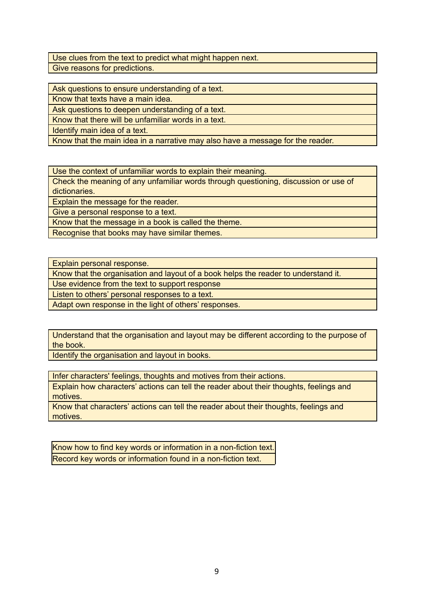Use clues from the text to predict what might happen next. Give reasons for predictions.

Ask questions to ensure understanding of a text.

Know that texts have a main idea.

Ask questions to deepen understanding of a text.

Know that there will be unfamiliar words in a text.

Identify main idea of a text.

Know that the main idea in a narrative may also have a message for the reader.

Use the context of unfamiliar words to explain their meaning.

Check the meaning of any unfamiliar words through questioning, discussion or use of dictionaries.

Explain the message for the reader.

Give a personal response to a text.

Know that the message in a book is called the theme.

Recognise that books may have similar themes.

Explain personal response.

Know that the organisation and layout of a book helps the reader to understand it.

Use evidence from the text to support response

Listen to others' personal responses to a text.

Adapt own response in the light of others' responses.

Understand that the organisation and layout may be different according to the purpose of the book.

Identify the organisation and layout in books.

Infer characters' feelings, thoughts and motives from their actions.

Explain how characters' actions can tell the reader about their thoughts, feelings and motives.

Know that characters' actions can tell the reader about their thoughts, feelings and motives.

Know how to find key words or information in a non-fiction text. Record key words or information found in a non-fiction text.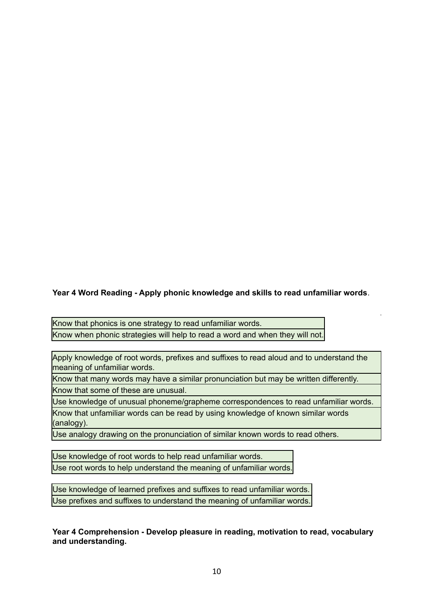# **Year 4 Word Reading - Apply phonic knowledge and skills to read unfamiliar words**.

Know that phonics is one strategy to read unfamiliar words. Know when phonic strategies will help to read a word and when they will not.

Apply knowledge of root words, prefixes and suffixes to read aloud and to understand the meaning of unfamiliar words.

Know that many words may have a similar pronunciation but may be written differently. Know that some of these are unusual.

Use knowledge of unusual phoneme/grapheme correspondences to read unfamiliar words. Know that unfamiliar words can be read by using knowledge of known similar words (analogy).

Use analogy drawing on the pronunciation of similar known words to read others.

Use knowledge of root words to help read unfamiliar words. Use root words to help understand the meaning of unfamiliar words.

Use knowledge of learned prefixes and suffixes to read unfamiliar words. Use prefixes and suffixes to understand the meaning of unfamiliar words.

**Year 4 Comprehension - Develop pleasure in reading, motivation to read, vocabulary and understanding.**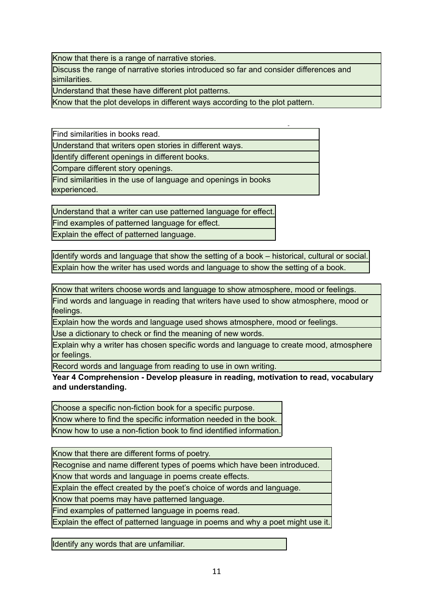Know that there is a range of narrative stories.

Discuss the range of narrative stories introduced so far and consider differences and similarities.

Understand that these have different plot patterns.

Know that the plot develops in different ways according to the plot pattern.

Find similarities in books read.

Understand that writers open stories in different ways.

Identify different openings in different books.

Compare different story openings.

Find similarities in the use of language and openings in books experienced.

Understand that a writer can use patterned language for effect.

Find examples of patterned language for effect.

Explain the effect of patterned language.

Identify words and language that show the setting of a book – historical, cultural or social. Explain how the writer has used words and language to show the setting of a book.

Know that writers choose words and language to show atmosphere, mood or feelings.

Find words and language in reading that writers have used to show atmosphere, mood or feelings.

Explain how the words and language used shows atmosphere, mood or feelings.

Use a dictionary to check or find the meaning of new words.

Explain why a writer has chosen specific words and language to create mood, atmosphere or feelings.

Record words and language from reading to use in own writing.

**Year 4 Comprehension - Develop pleasure in reading, motivation to read, vocabulary and understanding.**

Choose a specific non-fiction book for a specific purpose. Know where to find the specific information needed in the book. Know how to use a non-fiction book to find identified information.

Know that there are different forms of poetry.

Recognise and name different types of poems which have been introduced.

Know that words and language in poems create effects.

Explain the effect created by the poet's choice of words and language.

Know that poems may have patterned language.

Find examples of patterned language in poems read.

Explain the effect of patterned language in poems and why a poet might use it.

Identify any words that are unfamiliar.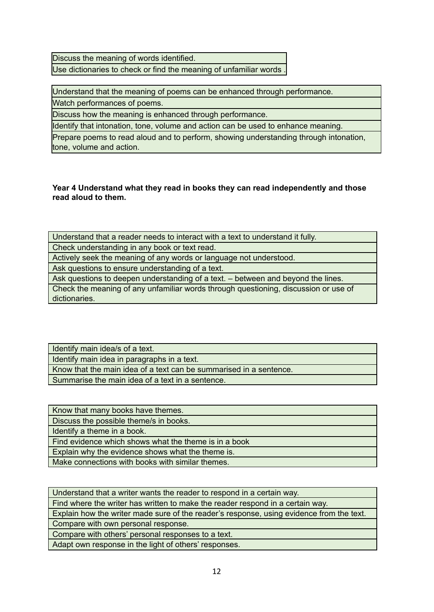Discuss the meaning of words identified. Use dictionaries to check or find the meaning of unfamiliar words .

Understand that the meaning of poems can be enhanced through performance.

Watch performances of poems.

Discuss how the meaning is enhanced through performance.

Identify that intonation, tone, volume and action can be used to enhance meaning.

Prepare poems to read aloud and to perform, showing understanding through intonation, tone, volume and action.

**Year 4 Understand what they read in books they can read independently and those read aloud to them.**

Understand that a reader needs to interact with a text to understand it fully. Check understanding in any book or text read. Actively seek the meaning of any words or language not understood. Ask questions to ensure understanding of a text. Ask questions to deepen understanding of a text. – between and beyond the lines. Check the meaning of any unfamiliar words through questioning, discussion or use of dictionaries.

Identify main idea/s of a text. Identify main idea in paragraphs in a text. Know that the main idea of a text can be summarised in a sentence. Summarise the main idea of a text in a sentence.

Know that many books have themes. Discuss the possible theme/s in books. Identify a theme in a book. Find evidence which shows what the theme is in a book Explain why the evidence shows what the theme is. Make connections with books with similar themes.

Understand that a writer wants the reader to respond in a certain way.

Find where the writer has written to make the reader respond in a certain way.

Explain how the writer made sure of the reader's response, using evidence from the text. Compare with own personal response.

Compare with others' personal responses to a text.

Adapt own response in the light of others' responses.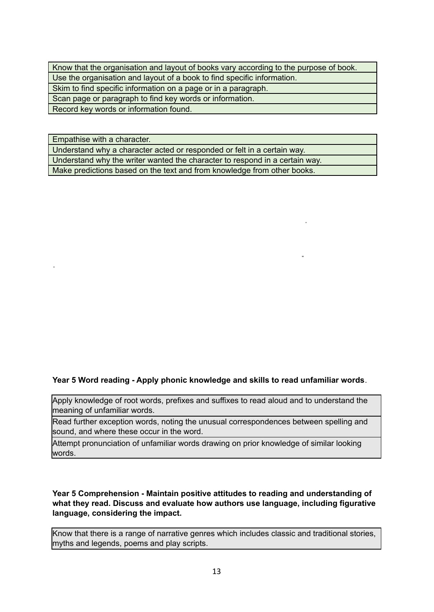| Know that the organisation and layout of books vary according to the purpose of book. |
|---------------------------------------------------------------------------------------|
| Use the organisation and layout of a book to find specific information.               |
| Skim to find specific information on a page or in a paragraph.                        |
| Scan page or paragraph to find key words or information.                              |
| Record key words or information found.                                                |

Empathise with a character.

Understand why a character acted or responded or felt in a certain way. Understand why the writer wanted the character to respond in a certain way. Make predictions based on the text and from knowledge from other books.

### **Year 5 Word reading - Apply phonic knowledge and skills to read unfamiliar words**.

Apply knowledge of root words, prefixes and suffixes to read aloud and to understand the meaning of unfamiliar words.

Read further exception words, noting the unusual correspondences between spelling and sound, and where these occur in the word.

Attempt pronunciation of unfamiliar words drawing on prior knowledge of similar looking words.

#### **Year 5 Comprehension - Maintain positive attitudes to reading and understanding of what they read. Discuss and evaluate how authors use language, including figurative language, considering the impact.**

Know that there is a range of narrative genres which includes classic and traditional stories, myths and legends, poems and play scripts.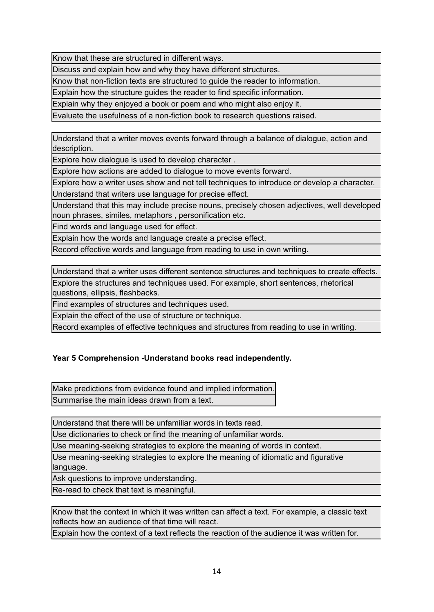Know that these are structured in different ways.

Discuss and explain how and why they have different structures.

Know that non-fiction texts are structured to guide the reader to information.

Explain how the structure guides the reader to find specific information.

Explain why they enjoyed a book or poem and who might also enjoy it.

Evaluate the usefulness of a non-fiction book to research questions raised.

Understand that a writer moves events forward through a balance of dialogue, action and description.

Explore how dialogue is used to develop character .

Explore how actions are added to dialogue to move events forward.

Explore how a writer uses show and not tell techniques to introduce or develop a character.

Understand that writers use language for precise effect.

Understand that this may include precise nouns, precisely chosen adjectives, well developed noun phrases, similes, metaphors , personification etc.

Find words and language used for effect.

Explain how the words and language create a precise effect.

Record effective words and language from reading to use in own writing.

Understand that a writer uses different sentence structures and techniques to create effects. Explore the structures and techniques used. For example, short sentences, rhetorical questions, ellipsis, flashbacks.

Find examples of structures and techniques used.

Explain the effect of the use of structure or technique.

Record examples of effective techniques and structures from reading to use in writing.

## **Year 5 Comprehension -Understand books read independently.**

Make predictions from evidence found and implied information. Summarise the main ideas drawn from a text.

Understand that there will be unfamiliar words in texts read.

Use dictionaries to check or find the meaning of unfamiliar words.

Use meaning-seeking strategies to explore the meaning of words in context.

Use meaning-seeking strategies to explore the meaning of idiomatic and figurative language.

Ask questions to improve understanding.

Re-read to check that text is meaningful.

Know that the context in which it was written can affect a text. For example, a classic text reflects how an audience of that time will react.

Explain how the context of a text reflects the reaction of the audience it was written for.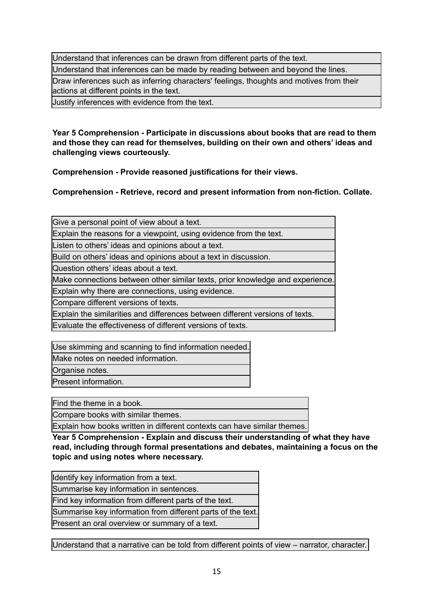Understand that inferences can be drawn from different parts of the text. Understand that inferences can be made by reading between and beyond the lines. Draw inferences such as inferring characters' feelings, thoughts and motives from their actions at different points in the text.

Justify inferences with evidence from the text.

**Year 5 Comprehension - Participate in discussions about books that are read to them and those they can read for themselves, building on their own and others' ideas and challenging views courteously.**

**Comprehension - Provide reasoned justifications for their views.**

**Comprehension - Retrieve, record and present information from non-fiction. Collate.**

Give a personal point of view about a text.

Explain the reasons for a viewpoint, using evidence from the text.

Listen to others' ideas and opinions about a text.

Build on others' ideas and opinions about a text in discussion.

Question others' ideas about a text.

Make connections between other similar texts, prior knowledge and experience.

Explain why there are connections, using evidence.

Compare different versions of texts.

Explain the similarities and differences between different versions of texts.

Evaluate the effectiveness of different versions of texts.

Use skimming and scanning to find information needed. Make notes on needed information.

Organise notes.

Present information.

Find the theme in a book.

Compare books with similar themes.

Explain how books written in different contexts can have similar themes.

**Year 5 Comprehension - Explain and discuss their understanding of what they have read, including through formal presentations and debates, maintaining a focus on the topic and using notes where necessary.**

| Identify key information from a text.                       |
|-------------------------------------------------------------|
| Summarise key information in sentences.                     |
| Find key information from different parts of the text.      |
| Summarise key information from different parts of the text. |
|                                                             |

Present an oral overview or summary of a text.

Understand that a narrative can be told from different points of view – narrator, character.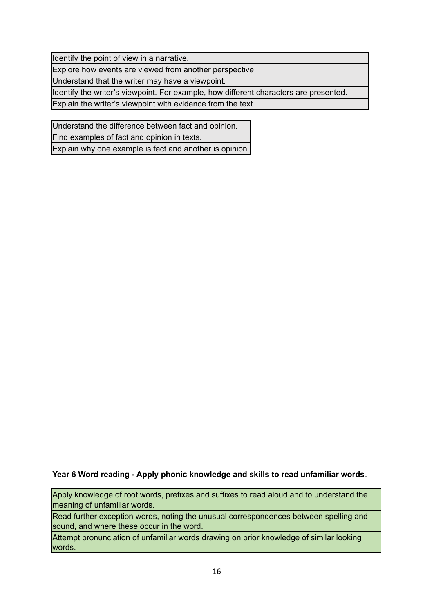Identify the point of view in a narrative.

Explore how events are viewed from another perspective.

Understand that the writer may have a viewpoint.

Identify the writer's viewpoint. For example, how different characters are presented.

Explain the writer's viewpoint with evidence from the text.

Understand the difference between fact and opinion.

Find examples of fact and opinion in texts.

Explain why one example is fact and another is opinion.

#### **Year 6 Word reading - Apply phonic knowledge and skills to read unfamiliar words**.

Apply knowledge of root words, prefixes and suffixes to read aloud and to understand the meaning of unfamiliar words.

Read further exception words, noting the unusual correspondences between spelling and sound, and where these occur in the word.

Attempt pronunciation of unfamiliar words drawing on prior knowledge of similar looking words.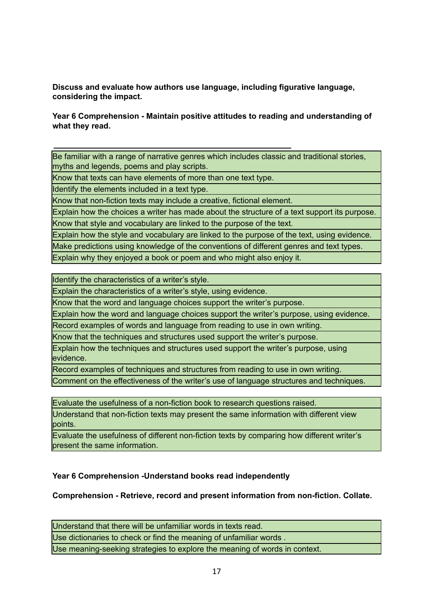**Discuss and evaluate how authors use language, including figurative language, considering the impact.**

#### **Year 6 Comprehension - Maintain positive attitudes to reading and understanding of what they read.**

Be familiar with a range of narrative genres which includes classic and traditional stories, myths and legends, poems and play scripts.

Know that texts can have elements of more than one text type.

Identify the elements included in a text type.

Know that non-fiction texts may include a creative, fictional element.

Explain how the choices a writer has made about the structure of a text support its purpose.

Know that style and vocabulary are linked to the purpose of the text.

Explain how the style and vocabulary are linked to the purpose of the text, using evidence.

Make predictions using knowledge of the conventions of different genres and text types.

Explain why they enjoyed a book or poem and who might also enjoy it.

Identify the characteristics of a writer's style.

Explain the characteristics of a writer's style, using evidence.

Know that the word and language choices support the writer's purpose.

Explain how the word and language choices support the writer's purpose, using evidence.

Record examples of words and language from reading to use in own writing.

Know that the techniques and structures used support the writer's purpose.

Explain how the techniques and structures used support the writer's purpose, using evidence.

Record examples of techniques and structures from reading to use in own writing.

Comment on the effectiveness of the writer's use of language structures and techniques.

Evaluate the usefulness of a non-fiction book to research questions raised.

Understand that non-fiction texts may present the same information with different view points.

Evaluate the usefulness of different non-fiction texts by comparing how different writer's present the same information.

## **Year 6 Comprehension -Understand books read independently**

**Comprehension - Retrieve, record and present information from non-fiction. Collate.**

Understand that there will be unfamiliar words in texts read.

Use dictionaries to check or find the meaning of unfamiliar words .

Use meaning-seeking strategies to explore the meaning of words in context.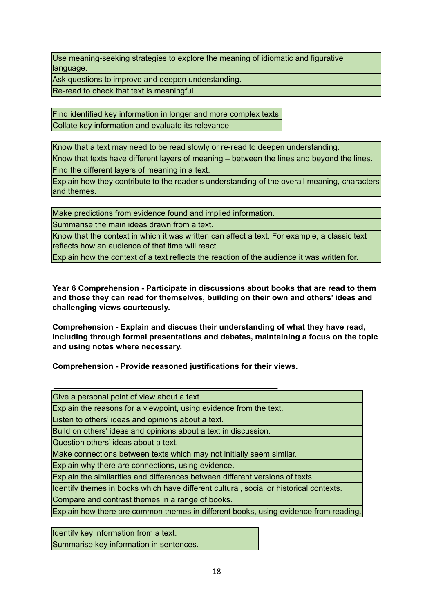Use meaning-seeking strategies to explore the meaning of idiomatic and figurative language.

Ask questions to improve and deepen understanding.

Re-read to check that text is meaningful.

Find identified key information in longer and more complex texts. Collate key information and evaluate its relevance.

Know that a text may need to be read slowly or re-read to deepen understanding.

Know that texts have different layers of meaning – between the lines and beyond the lines.

Find the different layers of meaning in a text.

Explain how they contribute to the reader's understanding of the overall meaning, characters and themes.

Make predictions from evidence found and implied information.

Summarise the main ideas drawn from a text.

Know that the context in which it was written can affect a text. For example, a classic text reflects how an audience of that time will react.

Explain how the context of a text reflects the reaction of the audience it was written for.

**Year 6 Comprehension - Participate in discussions about books that are read to them and those they can read for themselves, building on their own and others' ideas and challenging views courteously.**

**Comprehension - Explain and discuss their understanding of what they have read, including through formal presentations and debates, maintaining a focus on the topic and using notes where necessary.**

**Comprehension - Provide reasoned justifications for their views.**

Identify key information from a text. Summarise key information in sentences.